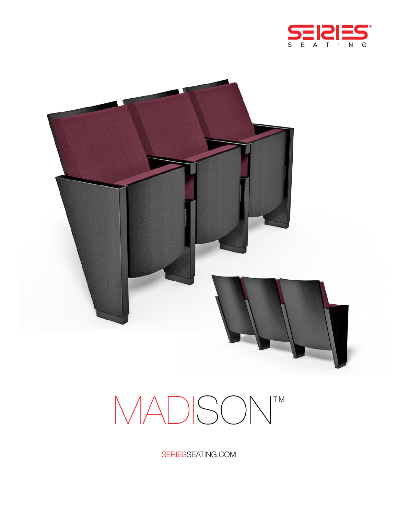



# MADISON<sup>TM</sup>

SERIESSEATING.COM